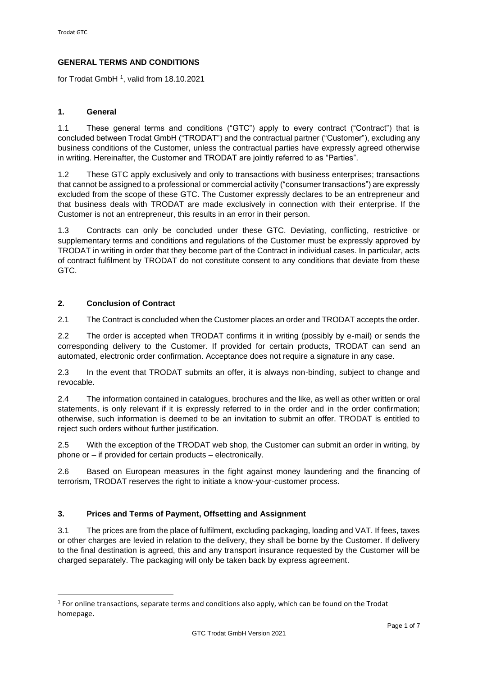# **GENERAL TERMS AND CONDITIONS**

for Trodat GmbH<sup>1</sup>, valid from 18.10.2021

### **1. General**

1.1 These general terms and conditions ("GTC") apply to every contract ("Contract") that is concluded between Trodat GmbH ("TRODAT") and the contractual partner ("Customer"), excluding any business conditions of the Customer, unless the contractual parties have expressly agreed otherwise in writing. Hereinafter, the Customer and TRODAT are jointly referred to as "Parties".

1.2 These GTC apply exclusively and only to transactions with business enterprises; transactions that cannot be assigned to a professional or commercial activity ("consumer transactions") are expressly excluded from the scope of these GTC. The Customer expressly declares to be an entrepreneur and that business deals with TRODAT are made exclusively in connection with their enterprise. If the Customer is not an entrepreneur, this results in an error in their person.

1.3 Contracts can only be concluded under these GTC. Deviating, conflicting, restrictive or supplementary terms and conditions and regulations of the Customer must be expressly approved by TRODAT in writing in order that they become part of the Contract in individual cases. In particular, acts of contract fulfilment by TRODAT do not constitute consent to any conditions that deviate from these GTC.

### **2. Conclusion of Contract**

2.1 The Contract is concluded when the Customer places an order and TRODAT accepts the order.

2.2 The order is accepted when TRODAT confirms it in writing (possibly by e-mail) or sends the corresponding delivery to the Customer. If provided for certain products, TRODAT can send an automated, electronic order confirmation. Acceptance does not require a signature in any case.

2.3 In the event that TRODAT submits an offer, it is always non-binding, subject to change and revocable.

2.4 The information contained in catalogues, brochures and the like, as well as other written or oral statements, is only relevant if it is expressly referred to in the order and in the order confirmation; otherwise, such information is deemed to be an invitation to submit an offer. TRODAT is entitled to reject such orders without further justification.

2.5 With the exception of the TRODAT web shop, the Customer can submit an order in writing, by phone or – if provided for certain products – electronically.

2.6 Based on European measures in the fight against money laundering and the financing of terrorism, TRODAT reserves the right to initiate a know-your-customer process.

# **3. Prices and Terms of Payment, Offsetting and Assignment**

3.1 The prices are from the place of fulfilment, excluding packaging, loading and VAT. If fees, taxes or other charges are levied in relation to the delivery, they shall be borne by the Customer. If delivery to the final destination is agreed, this and any transport insurance requested by the Customer will be charged separately. The packaging will only be taken back by express agreement.

 $<sup>1</sup>$  For online transactions, separate terms and conditions also apply, which can be found on the Trodat</sup> homepage.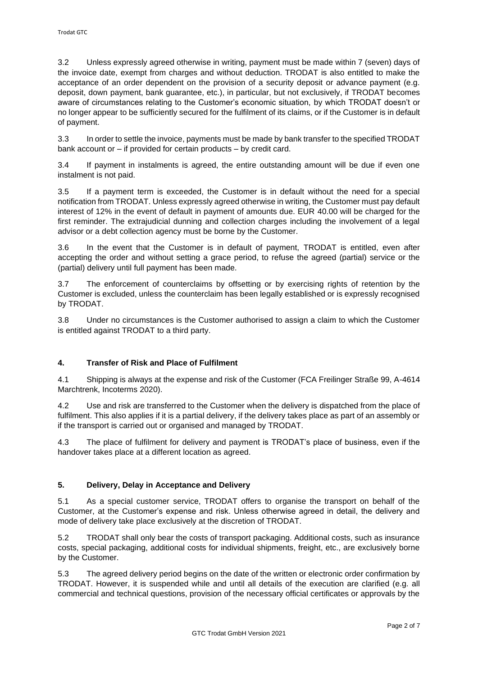3.2 Unless expressly agreed otherwise in writing, payment must be made within 7 (seven) days of the invoice date, exempt from charges and without deduction. TRODAT is also entitled to make the acceptance of an order dependent on the provision of a security deposit or advance payment (e.g. deposit, down payment, bank guarantee, etc.), in particular, but not exclusively, if TRODAT becomes aware of circumstances relating to the Customer's economic situation, by which TRODAT doesn't or no longer appear to be sufficiently secured for the fulfilment of its claims, or if the Customer is in default of payment.

3.3 In order to settle the invoice, payments must be made by bank transfer to the specified TRODAT bank account or – if provided for certain products – by credit card.

3.4 If payment in instalments is agreed, the entire outstanding amount will be due if even one instalment is not paid.

3.5 If a payment term is exceeded, the Customer is in default without the need for a special notification from TRODAT. Unless expressly agreed otherwise in writing, the Customer must pay default interest of 12% in the event of default in payment of amounts due. EUR 40.00 will be charged for the first reminder. The extrajudicial dunning and collection charges including the involvement of a legal advisor or a debt collection agency must be borne by the Customer.

3.6 In the event that the Customer is in default of payment, TRODAT is entitled, even after accepting the order and without setting a grace period, to refuse the agreed (partial) service or the (partial) delivery until full payment has been made.

3.7 The enforcement of counterclaims by offsetting or by exercising rights of retention by the Customer is excluded, unless the counterclaim has been legally established or is expressly recognised by TRODAT.

3.8 Under no circumstances is the Customer authorised to assign a claim to which the Customer is entitled against TRODAT to a third party.

# **4. Transfer of Risk and Place of Fulfilment**

4.1 Shipping is always at the expense and risk of the Customer (FCA Freilinger Straße 99, A-4614 Marchtrenk, Incoterms 2020).

4.2 Use and risk are transferred to the Customer when the delivery is dispatched from the place of fulfilment. This also applies if it is a partial delivery, if the delivery takes place as part of an assembly or if the transport is carried out or organised and managed by TRODAT.

4.3 The place of fulfilment for delivery and payment is TRODAT's place of business, even if the handover takes place at a different location as agreed.

# **5. Delivery, Delay in Acceptance and Delivery**

5.1 As a special customer service, TRODAT offers to organise the transport on behalf of the Customer, at the Customer's expense and risk. Unless otherwise agreed in detail, the delivery and mode of delivery take place exclusively at the discretion of TRODAT.

5.2 TRODAT shall only bear the costs of transport packaging. Additional costs, such as insurance costs, special packaging, additional costs for individual shipments, freight, etc., are exclusively borne by the Customer.

5.3 The agreed delivery period begins on the date of the written or electronic order confirmation by TRODAT. However, it is suspended while and until all details of the execution are clarified (e.g. all commercial and technical questions, provision of the necessary official certificates or approvals by the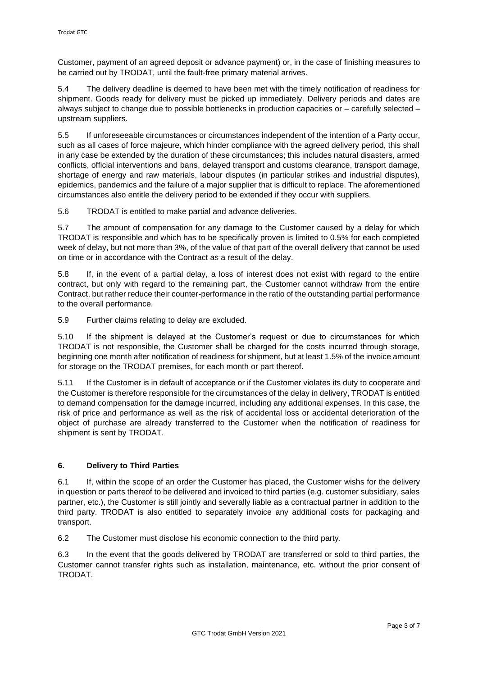Customer, payment of an agreed deposit or advance payment) or, in the case of finishing measures to be carried out by TRODAT, until the fault-free primary material arrives.

5.4 The delivery deadline is deemed to have been met with the timely notification of readiness for shipment. Goods ready for delivery must be picked up immediately. Delivery periods and dates are always subject to change due to possible bottlenecks in production capacities or – carefully selected – upstream suppliers.

5.5 If unforeseeable circumstances or circumstances independent of the intention of a Party occur, such as all cases of force majeure, which hinder compliance with the agreed delivery period, this shall in any case be extended by the duration of these circumstances; this includes natural disasters, armed conflicts, official interventions and bans, delayed transport and customs clearance, transport damage, shortage of energy and raw materials, labour disputes (in particular strikes and industrial disputes), epidemics, pandemics and the failure of a major supplier that is difficult to replace. The aforementioned circumstances also entitle the delivery period to be extended if they occur with suppliers.

5.6 TRODAT is entitled to make partial and advance deliveries.

5.7 The amount of compensation for any damage to the Customer caused by a delay for which TRODAT is responsible and which has to be specifically proven is limited to 0.5% for each completed week of delay, but not more than 3%, of the value of that part of the overall delivery that cannot be used on time or in accordance with the Contract as a result of the delay.

5.8 If, in the event of a partial delay, a loss of interest does not exist with regard to the entire contract, but only with regard to the remaining part, the Customer cannot withdraw from the entire Contract, but rather reduce their counter-performance in the ratio of the outstanding partial performance to the overall performance.

5.9 Further claims relating to delay are excluded.

5.10 If the shipment is delayed at the Customer's request or due to circumstances for which TRODAT is not responsible, the Customer shall be charged for the costs incurred through storage, beginning one month after notification of readiness for shipment, but at least 1.5% of the invoice amount for storage on the TRODAT premises, for each month or part thereof.

5.11 If the Customer is in default of acceptance or if the Customer violates its duty to cooperate and the Customer is therefore responsible for the circumstances of the delay in delivery, TRODAT is entitled to demand compensation for the damage incurred, including any additional expenses. In this case, the risk of price and performance as well as the risk of accidental loss or accidental deterioration of the object of purchase are already transferred to the Customer when the notification of readiness for shipment is sent by TRODAT.

# **6. Delivery to Third Parties**

6.1 If, within the scope of an order the Customer has placed, the Customer wishs for the delivery in question or parts thereof to be delivered and invoiced to third parties (e.g. customer subsidiary, sales partner, etc.), the Customer is still jointly and severally liable as a contractual partner in addition to the third party. TRODAT is also entitled to separately invoice any additional costs for packaging and transport.

6.2 The Customer must disclose his economic connection to the third party.

6.3 In the event that the goods delivered by TRODAT are transferred or sold to third parties, the Customer cannot transfer rights such as installation, maintenance, etc. without the prior consent of TRODAT.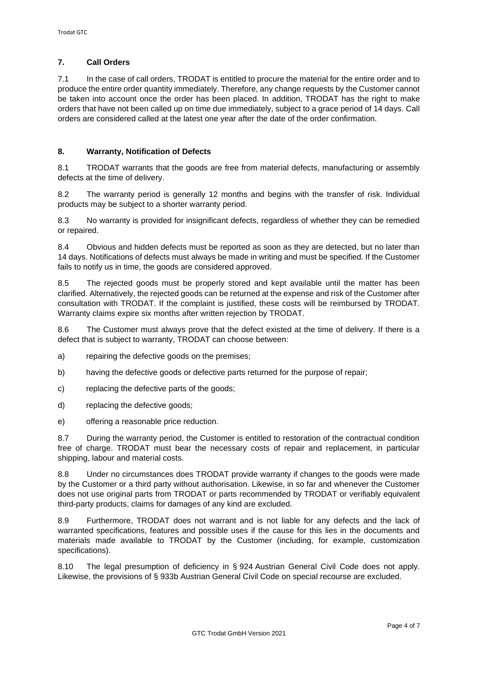# **7. Call Orders**

7.1 In the case of call orders, TRODAT is entitled to procure the material for the entire order and to produce the entire order quantity immediately. Therefore, any change requests by the Customer cannot be taken into account once the order has been placed. In addition, TRODAT has the right to make orders that have not been called up on time due immediately, subject to a grace period of 14 days. Call orders are considered called at the latest one year after the date of the order confirmation.

# **8. Warranty, Notification of Defects**

8.1 TRODAT warrants that the goods are free from material defects, manufacturing or assembly defects at the time of delivery.

8.2 The warranty period is generally 12 months and begins with the transfer of risk. Individual products may be subject to a shorter warranty period.

8.3 No warranty is provided for insignificant defects, regardless of whether they can be remedied or repaired.

8.4 Obvious and hidden defects must be reported as soon as they are detected, but no later than 14 days. Notifications of defects must always be made in writing and must be specified. If the Customer fails to notify us in time, the goods are considered approved.

8.5 The rejected goods must be properly stored and kept available until the matter has been clarified. Alternatively, the rejected goods can be returned at the expense and risk of the Customer after consultation with TRODAT. If the complaint is justified, these costs will be reimbursed by TRODAT. Warranty claims expire six months after written rejection by TRODAT.

8.6 The Customer must always prove that the defect existed at the time of delivery. If there is a defect that is subject to warranty, TRODAT can choose between:

a) repairing the defective goods on the premises;

b) having the defective goods or defective parts returned for the purpose of repair;

- c) replacing the defective parts of the goods;
- d) replacing the defective goods;

e) offering a reasonable price reduction.

8.7 During the warranty period, the Customer is entitled to restoration of the contractual condition free of charge. TRODAT must bear the necessary costs of repair and replacement, in particular shipping, labour and material costs.

8.8 Under no circumstances does TRODAT provide warranty if changes to the goods were made by the Customer or a third party without authorisation. Likewise, in so far and whenever the Customer does not use original parts from TRODAT or parts recommended by TRODAT or verifiably equivalent third-party products, claims for damages of any kind are excluded.

8.9 Furthermore, TRODAT does not warrant and is not liable for any defects and the lack of warranted specifications, features and possible uses if the cause for this lies in the documents and materials made available to TRODAT by the Customer (including, for example, customization specifications).

8.10 The legal presumption of deficiency in § 924 Austrian General Civil Code does not apply. Likewise, the provisions of § 933b Austrian General Civil Code on special recourse are excluded.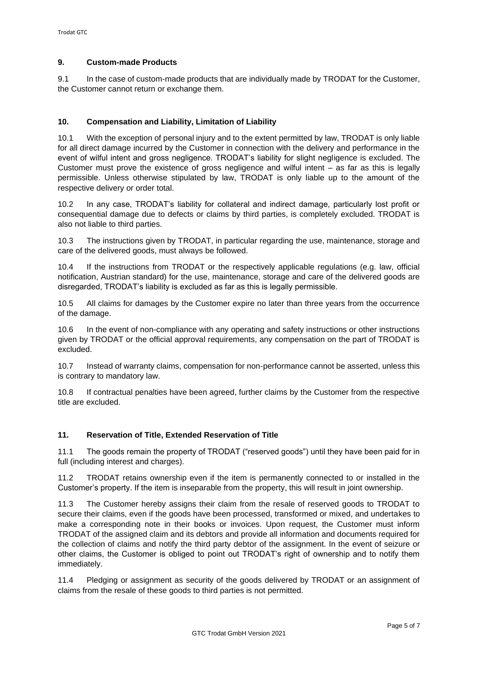## **9. Custom-made Products**

9.1 In the case of custom-made products that are individually made by TRODAT for the Customer, the Customer cannot return or exchange them.

### **10. Compensation and Liability, Limitation of Liability**

10.1 With the exception of personal injury and to the extent permitted by law, TRODAT is only liable for all direct damage incurred by the Customer in connection with the delivery and performance in the event of wilful intent and gross negligence. TRODAT's liability for slight negligence is excluded. The Customer must prove the existence of gross negligence and wilful intent – as far as this is legally permissible. Unless otherwise stipulated by law, TRODAT is only liable up to the amount of the respective delivery or order total.

10.2 In any case, TRODAT's liability for collateral and indirect damage, particularly lost profit or consequential damage due to defects or claims by third parties, is completely excluded. TRODAT is also not liable to third parties.

10.3 The instructions given by TRODAT, in particular regarding the use, maintenance, storage and care of the delivered goods, must always be followed.

10.4 If the instructions from TRODAT or the respectively applicable regulations (e.g. law, official notification, Austrian standard) for the use, maintenance, storage and care of the delivered goods are disregarded, TRODAT's liability is excluded as far as this is legally permissible.

10.5 All claims for damages by the Customer expire no later than three years from the occurrence of the damage.

10.6 In the event of non-compliance with any operating and safety instructions or other instructions given by TRODAT or the official approval requirements, any compensation on the part of TRODAT is excluded.

10.7 Instead of warranty claims, compensation for non-performance cannot be asserted, unless this is contrary to mandatory law.

10.8 If contractual penalties have been agreed, further claims by the Customer from the respective title are excluded.

#### **11. Reservation of Title, Extended Reservation of Title**

11.1 The goods remain the property of TRODAT ("reserved goods") until they have been paid for in full (including interest and charges).

11.2 TRODAT retains ownership even if the item is permanently connected to or installed in the Customer's property. If the item is inseparable from the property, this will result in joint ownership.

11.3 The Customer hereby assigns their claim from the resale of reserved goods to TRODAT to secure their claims, even if the goods have been processed, transformed or mixed, and undertakes to make a corresponding note in their books or invoices. Upon request, the Customer must inform TRODAT of the assigned claim and its debtors and provide all information and documents required for the collection of claims and notify the third party debtor of the assignment. In the event of seizure or other claims, the Customer is obliged to point out TRODAT's right of ownership and to notify them immediately.

11.4 Pledging or assignment as security of the goods delivered by TRODAT or an assignment of claims from the resale of these goods to third parties is not permitted.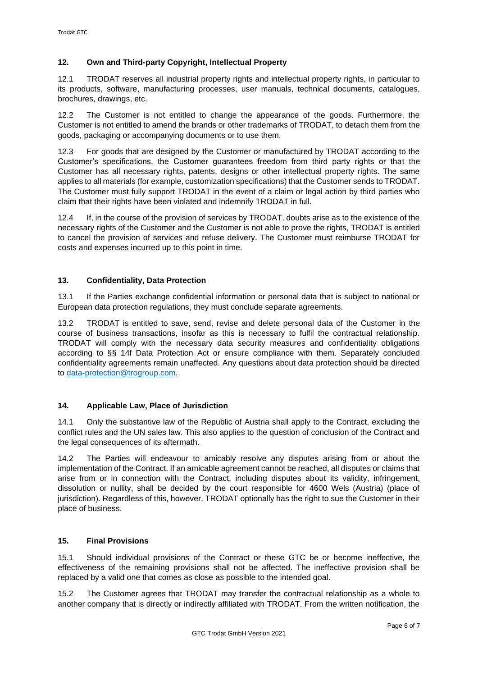# **12. Own and Third-party Copyright, Intellectual Property**

12.1 TRODAT reserves all industrial property rights and intellectual property rights, in particular to its products, software, manufacturing processes, user manuals, technical documents, catalogues, brochures, drawings, etc.

12.2 The Customer is not entitled to change the appearance of the goods. Furthermore, the Customer is not entitled to amend the brands or other trademarks of TRODAT, to detach them from the goods, packaging or accompanying documents or to use them.

12.3 For goods that are designed by the Customer or manufactured by TRODAT according to the Customer's specifications, the Customer guarantees freedom from third party rights or that the Customer has all necessary rights, patents, designs or other intellectual property rights. The same applies to all materials (for example, customization specifications) that the Customer sends to TRODAT. The Customer must fully support TRODAT in the event of a claim or legal action by third parties who claim that their rights have been violated and indemnify TRODAT in full.

12.4 If, in the course of the provision of services by TRODAT, doubts arise as to the existence of the necessary rights of the Customer and the Customer is not able to prove the rights, TRODAT is entitled to cancel the provision of services and refuse delivery. The Customer must reimburse TRODAT for costs and expenses incurred up to this point in time.

# **13. Confidentiality, Data Protection**

13.1 If the Parties exchange confidential information or personal data that is subject to national or European data protection regulations, they must conclude separate agreements.

13.2 TRODAT is entitled to save, send, revise and delete personal data of the Customer in the course of business transactions, insofar as this is necessary to fulfil the contractual relationship. TRODAT will comply with the necessary data security measures and confidentiality obligations according to §§ 14f Data Protection Act or ensure compliance with them. Separately concluded confidentiality agreements remain unaffected. Any questions about data protection should be directed to [data-protection@trogroup.com.](mailto:data-protection@trogroup.com)

# **14. Applicable Law, Place of Jurisdiction**

14.1 Only the substantive law of the Republic of Austria shall apply to the Contract, excluding the conflict rules and the UN sales law. This also applies to the question of conclusion of the Contract and the legal consequences of its aftermath.

14.2 The Parties will endeavour to amicably resolve any disputes arising from or about the implementation of the Contract. If an amicable agreement cannot be reached, all disputes or claims that arise from or in connection with the Contract, including disputes about its validity, infringement, dissolution or nullity, shall be decided by the court responsible for 4600 Wels (Austria) (place of jurisdiction). Regardless of this, however, TRODAT optionally has the right to sue the Customer in their place of business.

### **15. Final Provisions**

15.1 Should individual provisions of the Contract or these GTC be or become ineffective, the effectiveness of the remaining provisions shall not be affected. The ineffective provision shall be replaced by a valid one that comes as close as possible to the intended goal.

15.2 The Customer agrees that TRODAT may transfer the contractual relationship as a whole to another company that is directly or indirectly affiliated with TRODAT. From the written notification, the